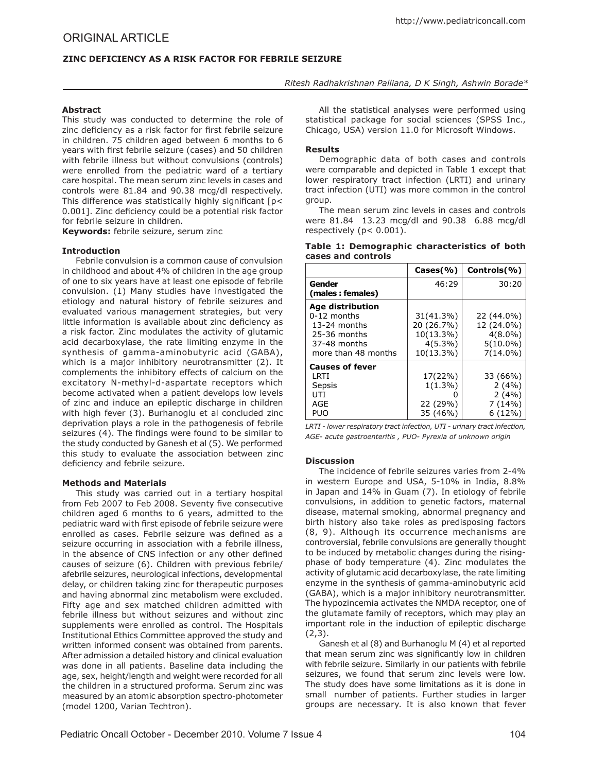# **ZINC DEFICIENCY AS A RISK FACTOR FOR FEBRILE SEIZURE**

## *Ritesh Radhakrishnan Palliana, D K Singh, Ashwin Borade\**

### **Abstract**

This study was conducted to determine the role of zinc deficiency as a risk factor for first febrile seizure in children. 75 children aged between 6 months to 6 years with first febrile seizure (cases) and 50 children with febrile illness but without convulsions (controls) were enrolled from the pediatric ward of a tertiary care hospital. The mean serum zinc levels in cases and controls were 81.84 and 90.38 mcg/dl respectively. This difference was statistically highly significant [p< 0.001]. Zinc deficiency could be a potential risk factor for febrile seizure in children.

**Keywords:** febrile seizure, serum zinc

### **Introduction**

Febrile convulsion is a common cause of convulsion in childhood and about 4% of children in the age group of one to six years have at least one episode of febrile convulsion. (1) Many studies have investigated the etiology and natural history of febrile seizures and evaluated various management strategies, but very little information is available about zinc deficiency as a risk factor. Zinc modulates the activity of glutamic acid decarboxylase, the rate limiting enzyme in the synthesis of gamma-aminobutyric acid (GABA), which is a major inhibitory neurotransmitter (2). It complements the inhibitory effects of calcium on the excitatory N-methyl-d-aspartate receptors which become activated when a patient develops low levels of zinc and induce an epileptic discharge in children with high fever (3). Burhanoglu et al concluded zinc deprivation plays a role in the pathogenesis of febrile seizures (4). The findings were found to be similar to the study conducted by Ganesh et al (5). We performed this study to evaluate the association between zinc deficiency and febrile seizure.

### **Methods and Materials**

This study was carried out in a tertiary hospital from Feb 2007 to Feb 2008. Seventy five consecutive children aged 6 months to 6 years, admitted to the pediatric ward with first episode of febrile seizure were enrolled as cases. Febrile seizure was defined as a seizure occurring in association with a febrile illness. in the absence of CNS infection or any other defined causes of seizure (6). Children with previous febrile/ afebrile seizures, neurological infections, developmental delay, or children taking zinc for therapeutic purposes and having abnormal zinc metabolism were excluded. Fifty age and sex matched children admitted with febrile illness but without seizures and without zinc supplements were enrolled as control. The Hospitals Institutional Ethics Committee approved the study and written informed consent was obtained from parents. After admission a detailed history and clinical evaluation was done in all patients. Baseline data including the age, sex, height/length and weight were recorded for all the children in a structured proforma. Serum zinc was measured by an atomic absorption spectro-photometer (model 1200, Varian Techtron).

All the statistical analyses were performed using statistical package for social sciences (SPSS Inc., Chicago, USA) version 11.0 for Microsoft Windows.

## **Results**

Demographic data of both cases and controls were comparable and depicted in Table 1 except that lower respiratory tract infection (LRTI) and urinary tract infection (UTI) was more common in the control droup.

The mean serum zinc levels in cases and controls were 81.84 13.23 mcg/dl and 90.38 6.88 mcg/dl respectively (p< 0.001).

|  |                    | Table 1: Demographic characteristics of both |  |
|--|--------------------|----------------------------------------------|--|
|  | cases and controls |                                              |  |

|                        | $\textsf{Cases}( %)$ | Controls(%) |
|------------------------|----------------------|-------------|
| Gender                 | 46:29                | 30:20       |
| (males: females)       |                      |             |
| Age distribution       |                      |             |
| $0-12$ months          | 31(41.3%)            | 22 (44.0%)  |
| 13-24 months           | 20 (26.7%)           | 12 (24.0%)  |
| 25-36 months           | 10(13.3%)            | $4(8.0\%)$  |
| 37-48 months           | $4(5.3\%)$           | $5(10.0\%)$ |
| more than 48 months    | 10(13.3%)            | $7(14.0\%)$ |
| <b>Causes of fever</b> |                      |             |
| <b>LRTI</b>            | 17(22%)              | 33 (66%)    |
| Sepsis                 | $1(1.3\%)$           | 2(4%)       |
| UTI                    |                      | 2(4%)       |
| AGE                    | 22 (29%)             | 7(14%)      |
| PUO                    | 35 (46%)             | $6(12\%)$   |

*LRTI - lower respiratory tract infection, UTI - urinary tract infection, AGE- acute gastroenteritis , PUO- Pyrexia of unknown origin*

### **Discussion**

The incidence of febrile seizures varies from 2-4% in western Europe and USA, 5-10% in India, 8.8% in Japan and 14% in Guam (7). In etiology of febrile convulsions, in addition to genetic factors, maternal disease, maternal smoking, abnormal pregnancy and birth history also take roles as predisposing factors (8, 9). Although its occurrence mechanisms are controversial, febrile convulsions are generally thought to be induced by metabolic changes during the risingphase of body temperature (4). Zinc modulates the activity of glutamic acid decarboxylase, the rate limiting enzyme in the synthesis of gamma-aminobutyric acid (GABA), which is a major inhibitory neurotransmitter. The hypozincemia activates the NMDA receptor, one of the glutamate family of receptors, which may play an important role in the induction of epileptic discharge  $(2.3)$ .

Ganesh et al (8) and Burhanoglu M (4) et al reported that mean serum zinc was significantly low in children with febrile seizure. Similarly in our patients with febrile seizures, we found that serum zinc levels were low. The study does have some limitations as it is done in small number of patients. Further studies in larger groups are necessary. It is also known that fever